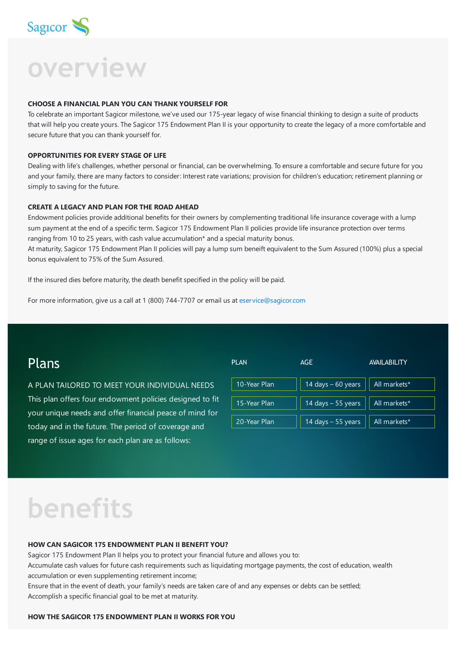

**overview**

#### **CHOOSE A FINANCIAL PLAN YOU CAN THANK YOURSELF FOR**

To celebrate an important Sagicor milestone, we've used our 175-year legacy of wise financial thinking to design a suite of products that will help you create yours. The Sagicor 175 Endowment Plan II is your opportunity to create the legacy of a more comfortable and secure future that you can thank yourself for.

#### **OPPORTUNITIES FOR EVERY STAGE OF LIFE**

Dealing with life's challenges, whether personal or financial, can be overwhelming. To ensure a comfortable and secure future for you and your family, there are many factors to consider: Interest rate variations; provision for children's education; retirement planning or simply to saving for the future.

#### **CREATE A LEGACY AND PLAN FOR THE ROAD AHEAD**

Endowment policies provide additional benefits for their owners by complementing traditional life insurance coverage with a lump sum payment at the end of a specific term. Sagicor 175 Endowment Plan II policies provide life insurance protection over terms ranging from 10 to 25 years, with cash value accumulation\* and a special maturity bonus.

At maturity, Sagicor 175 Endowment Plan II policies will pay a lump sum beneift equivalent to the Sum Assured (100%) plus a special bonus equivalent to 75% of the Sum Assured.

If the insured dies before maturity, the death benefit specified in the policy will be paid.

For more information, give us a call at 1 (800) 744-7707 or email us at [eservice@sagicor.com](mailto:eservice@sagicor.com?subject=Insurance%20Product%20Queries)

### Plans

A PLAN TAILORED TO MEET YOUR INDIVIDUAL NEEDS This plan offers four endowment policies designed to fit your unique needs and offer financial peace of mind for today and in the future. The period of coverage and range of issue ages for each plan are as follows:



## **benefits**

#### **HOW CAN SAGICOR 175 ENDOWMENT PLAN II BENEFIT YOU?**

Sagicor 175 Endowment Plan II helps you to protect your financial future and allows you to:

Accumulate cash values for future cash requirements such as liquidating mortgage payments, the cost of education, wealth accumulation or even supplementing retirement income;

Ensure that in the event of death, your family's needs are taken care of and any expenses or debts can be settled; Accomplish a specific financial goal to be met at maturity.

#### **HOW THE SAGICOR 175 ENDOWMENT PLAN II WORKS FOR YOU**